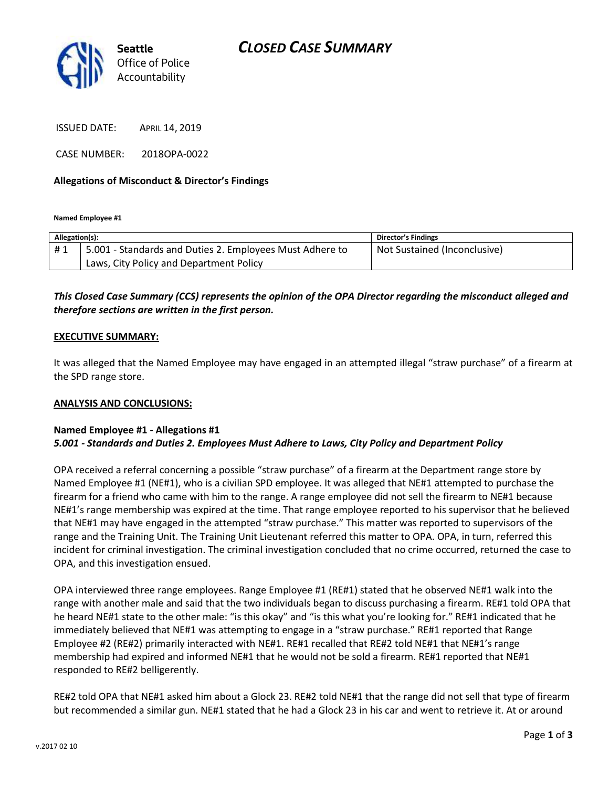

ISSUED DATE: APRIL 14, 2019

CASE NUMBER: 2018OPA-0022

## **Allegations of Misconduct & Director's Findings**

**Named Employee #1**

| Allegation(s): |                                                          | Director's Findings          |
|----------------|----------------------------------------------------------|------------------------------|
| #1             | 5.001 - Standards and Duties 2. Employees Must Adhere to | Not Sustained (Inconclusive) |
|                | Laws, City Policy and Department Policy                  |                              |
|                |                                                          |                              |

*This Closed Case Summary (CCS) represents the opinion of the OPA Director regarding the misconduct alleged and therefore sections are written in the first person.* 

#### **EXECUTIVE SUMMARY:**

It was alleged that the Named Employee may have engaged in an attempted illegal "straw purchase" of a firearm at the SPD range store.

#### **ANALYSIS AND CONCLUSIONS:**

## **Named Employee #1 - Allegations #1** *5.001 - Standards and Duties 2. Employees Must Adhere to Laws, City Policy and Department Policy*

OPA received a referral concerning a possible "straw purchase" of a firearm at the Department range store by Named Employee #1 (NE#1), who is a civilian SPD employee. It was alleged that NE#1 attempted to purchase the firearm for a friend who came with him to the range. A range employee did not sell the firearm to NE#1 because NE#1's range membership was expired at the time. That range employee reported to his supervisor that he believed that NE#1 may have engaged in the attempted "straw purchase." This matter was reported to supervisors of the range and the Training Unit. The Training Unit Lieutenant referred this matter to OPA. OPA, in turn, referred this incident for criminal investigation. The criminal investigation concluded that no crime occurred, returned the case to OPA, and this investigation ensued.

OPA interviewed three range employees. Range Employee #1 (RE#1) stated that he observed NE#1 walk into the range with another male and said that the two individuals began to discuss purchasing a firearm. RE#1 told OPA that he heard NE#1 state to the other male: "is this okay" and "is this what you're looking for." RE#1 indicated that he immediately believed that NE#1 was attempting to engage in a "straw purchase." RE#1 reported that Range Employee #2 (RE#2) primarily interacted with NE#1. RE#1 recalled that RE#2 told NE#1 that NE#1's range membership had expired and informed NE#1 that he would not be sold a firearm. RE#1 reported that NE#1 responded to RE#2 belligerently.

RE#2 told OPA that NE#1 asked him about a Glock 23. RE#2 told NE#1 that the range did not sell that type of firearm but recommended a similar gun. NE#1 stated that he had a Glock 23 in his car and went to retrieve it. At or around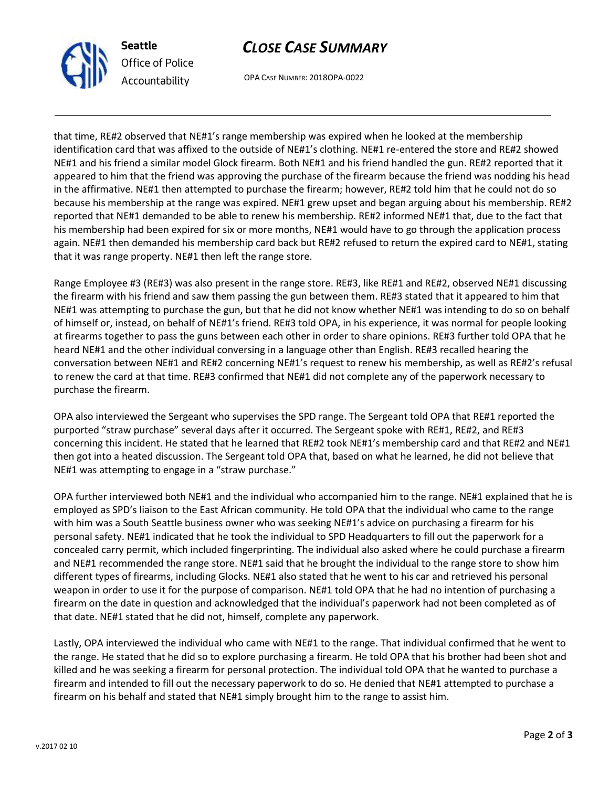

## *CLOSE CASE SUMMARY*

OPA CASE NUMBER: 2018OPA-0022

that time, RE#2 observed that NE#1's range membership was expired when he looked at the membership identification card that was affixed to the outside of NE#1's clothing. NE#1 re-entered the store and RE#2 showed NE#1 and his friend a similar model Glock firearm. Both NE#1 and his friend handled the gun. RE#2 reported that it appeared to him that the friend was approving the purchase of the firearm because the friend was nodding his head in the affirmative. NE#1 then attempted to purchase the firearm; however, RE#2 told him that he could not do so because his membership at the range was expired. NE#1 grew upset and began arguing about his membership. RE#2 reported that NE#1 demanded to be able to renew his membership. RE#2 informed NE#1 that, due to the fact that his membership had been expired for six or more months, NE#1 would have to go through the application process again. NE#1 then demanded his membership card back but RE#2 refused to return the expired card to NE#1, stating that it was range property. NE#1 then left the range store.

Range Employee #3 (RE#3) was also present in the range store. RE#3, like RE#1 and RE#2, observed NE#1 discussing the firearm with his friend and saw them passing the gun between them. RE#3 stated that it appeared to him that NE#1 was attempting to purchase the gun, but that he did not know whether NE#1 was intending to do so on behalf of himself or, instead, on behalf of NE#1's friend. RE#3 told OPA, in his experience, it was normal for people looking at firearms together to pass the guns between each other in order to share opinions. RE#3 further told OPA that he heard NE#1 and the other individual conversing in a language other than English. RE#3 recalled hearing the conversation between NE#1 and RE#2 concerning NE#1's request to renew his membership, as well as RE#2's refusal to renew the card at that time. RE#3 confirmed that NE#1 did not complete any of the paperwork necessary to purchase the firearm.

OPA also interviewed the Sergeant who supervises the SPD range. The Sergeant told OPA that RE#1 reported the purported "straw purchase" several days after it occurred. The Sergeant spoke with RE#1, RE#2, and RE#3 concerning this incident. He stated that he learned that RE#2 took NE#1's membership card and that RE#2 and NE#1 then got into a heated discussion. The Sergeant told OPA that, based on what he learned, he did not believe that NE#1 was attempting to engage in a "straw purchase."

OPA further interviewed both NE#1 and the individual who accompanied him to the range. NE#1 explained that he is employed as SPD's liaison to the East African community. He told OPA that the individual who came to the range with him was a South Seattle business owner who was seeking NE#1's advice on purchasing a firearm for his personal safety. NE#1 indicated that he took the individual to SPD Headquarters to fill out the paperwork for a concealed carry permit, which included fingerprinting. The individual also asked where he could purchase a firearm and NE#1 recommended the range store. NE#1 said that he brought the individual to the range store to show him different types of firearms, including Glocks. NE#1 also stated that he went to his car and retrieved his personal weapon in order to use it for the purpose of comparison. NE#1 told OPA that he had no intention of purchasing a firearm on the date in question and acknowledged that the individual's paperwork had not been completed as of that date. NE#1 stated that he did not, himself, complete any paperwork.

Lastly, OPA interviewed the individual who came with NE#1 to the range. That individual confirmed that he went to the range. He stated that he did so to explore purchasing a firearm. He told OPA that his brother had been shot and killed and he was seeking a firearm for personal protection. The individual told OPA that he wanted to purchase a firearm and intended to fill out the necessary paperwork to do so. He denied that NE#1 attempted to purchase a firearm on his behalf and stated that NE#1 simply brought him to the range to assist him.